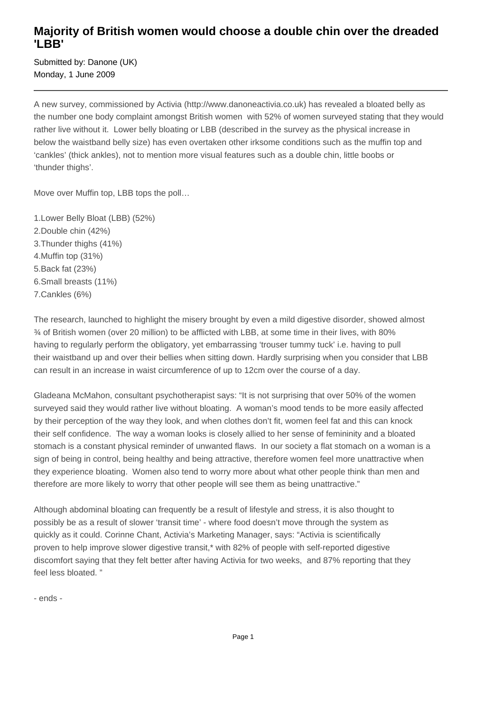## **Majority of British women would choose a double chin over the dreaded 'LBB'**

Submitted by: Danone (UK) Monday, 1 June 2009

A new survey, commissioned by Activia (http://www.danoneactivia.co.uk) has revealed a bloated belly as the number one body complaint amongst British women with 52% of women surveyed stating that they would rather live without it. Lower belly bloating or LBB (described in the survey as the physical increase in below the waistband belly size) has even overtaken other irksome conditions such as the muffin top and 'cankles' (thick ankles), not to mention more visual features such as a double chin, little boobs or 'thunder thighs'.

Move over Muffin top, LBB tops the poll…

- 1. Lower Belly Bloat (LBB) (52%)
- 2. Double chin (42%)
- 3. Thunder thighs (41%)
- 4. Muffin top (31%)
- 5. Back fat (23%)
- 6. Small breasts (11%)
- 7. Cankles (6%)

The research, launched to highlight the misery brought by even a mild digestive disorder, showed almost ¾ of British women (over 20 million) to be afflicted with LBB, at some time in their lives, with 80% having to regularly perform the obligatory, yet embarrassing 'trouser tummy tuck' i.e. having to pull their waistband up and over their bellies when sitting down. Hardly surprising when you consider that LBB can result in an increase in waist circumference of up to 12cm over the course of a day.

Gladeana McMahon, consultant psychotherapist says: "It is not surprising that over 50% of the women surveyed said they would rather live without bloating. A woman's mood tends to be more easily affected by their perception of the way they look, and when clothes don't fit, women feel fat and this can knock their self confidence. The way a woman looks is closely allied to her sense of femininity and a bloated stomach is a constant physical reminder of unwanted flaws. In our society a flat stomach on a woman is a sign of being in control, being healthy and being attractive, therefore women feel more unattractive when they experience bloating. Women also tend to worry more about what other people think than men and therefore are more likely to worry that other people will see them as being unattractive."

Although abdominal bloating can frequently be a result of lifestyle and stress, it is also thought to possibly be as a result of slower 'transit time' - where food doesn't move through the system as quickly as it could. Corinne Chant, Activia's Marketing Manager, says: "Activia is scientifically proven to help improve slower digestive transit,\* with 82% of people with self-reported digestive discomfort saying that they felt better after having Activia for two weeks, and 87% reporting that they feel less bloated. "

- ends -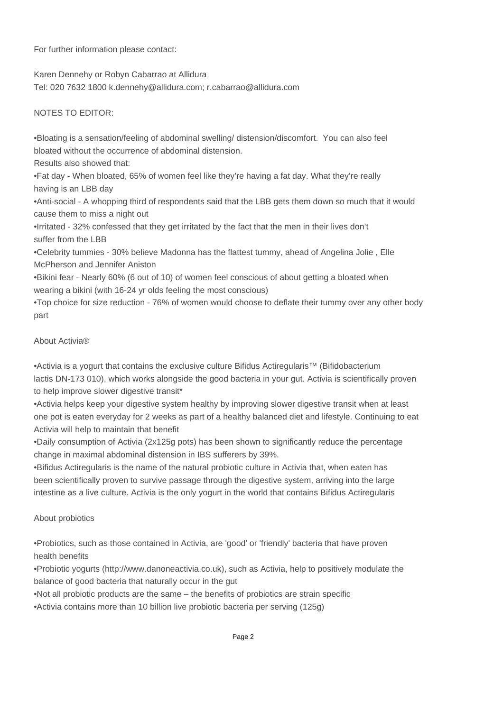For further information please contact:

Karen Dennehy or Robyn Cabarrao at Allidura

Tel: 020 7632 1800 k.dennehy@allidura.com; r.cabarrao@allidura.com

NOTES TO EDITOR:

• Bloating is a sensation/feeling of abdominal swelling/ distension/discomfort. You can also feel bloated without the occurrence of abdominal distension.

Results also showed that:

• Fat day - When bloated, 65% of women feel like they're having a fat day. What they're really having is an LBB day

• Anti-social - A whopping third of respondents said that the LBB gets them down so much that it would cause them to miss a night out

• Irritated - 32% confessed that they get irritated by the fact that the men in their lives don't suffer from the LBB

• Celebrity tummies - 30% believe Madonna has the flattest tummy, ahead of Angelina Jolie , Elle McPherson and Jennifer Aniston

• Bikini fear - Nearly 60% (6 out of 10) of women feel conscious of about getting a bloated when wearing a bikini (with 16-24 yr olds feeling the most conscious)

• Top choice for size reduction - 76% of women would choose to deflate their tummy over any other body part

## About Activia®

• Activia is a yogurt that contains the exclusive culture Bifidus Actiregularis™ (Bifidobacterium lactis DN-173 010), which works alongside the good bacteria in your gut. Activia is scientifically proven to help improve slower digestive transit\*

• Activia helps keep your digestive system healthy by improving slower digestive transit when at least one pot is eaten everyday for 2 weeks as part of a healthy balanced diet and lifestyle. Continuing to eat Activia will help to maintain that benefit

• Daily consumption of Activia (2x125g pots) has been shown to significantly reduce the percentage change in maximal abdominal distension in IBS sufferers by 39%.

• Bifidus Actiregularis is the name of the natural probiotic culture in Activia that, when eaten has been scientifically proven to survive passage through the digestive system, arriving into the large intestine as a live culture. Activia is the only yogurt in the world that contains Bifidus Actiregularis

## About probiotics

• Probiotics, such as those contained in Activia, are 'good' or 'friendly' bacteria that have proven health benefits

• Probiotic yogurts (http://www.danoneactivia.co.uk), such as Activia, help to positively modulate the balance of good bacteria that naturally occur in the gut

• Not all probiotic products are the same – the benefits of probiotics are strain specific

• Activia contains more than 10 billion live probiotic bacteria per serving (125g)